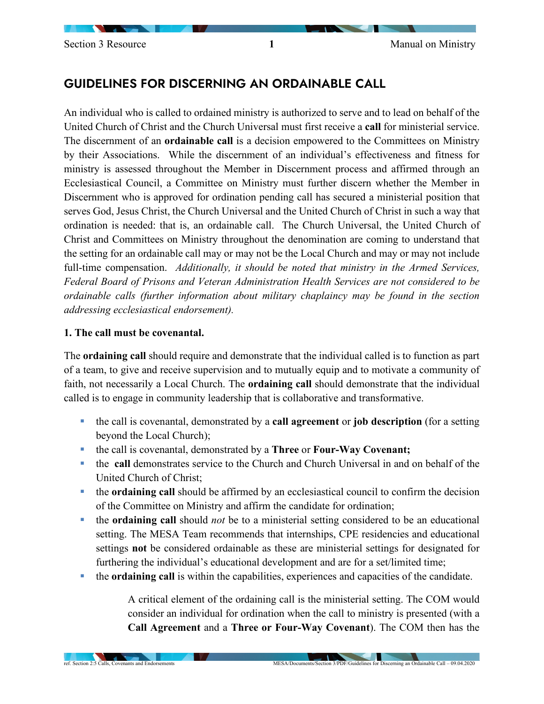# GUIDELINES FOR DISCERNING AN ORDAINABLE CALL

An individual who is called to ordained ministry is authorized to serve and to lead on behalf of the United Church of Christ and the Church Universal must first receive a **call** for ministerial service. The discernment of an **ordainable call** is a decision empowered to the Committees on Ministry by their Associations. While the discernment of an individual's effectiveness and fitness for ministry is assessed throughout the Member in Discernment process and affirmed through an Ecclesiastical Council, a Committee on Ministry must further discern whether the Member in Discernment who is approved for ordination pending call has secured a ministerial position that serves God, Jesus Christ, the Church Universal and the United Church of Christ in such a way that ordination is needed: that is, an ordainable call. The Church Universal, the United Church of Christ and Committees on Ministry throughout the denomination are coming to understand that the setting for an ordainable call may or may not be the Local Church and may or may not include full-time compensation. *Additionally, it should be noted that ministry in the Armed Services, Federal Board of Prisons and Veteran Administration Health Services are not considered to be ordainable calls (further information about military chaplaincy may be found in the section addressing ecclesiastical endorsement).* 

#### **1. The call must be covenantal.**

The **ordaining call** should require and demonstrate that the individual called is to function as part of a team, to give and receive supervision and to mutually equip and to motivate a community of faith, not necessarily a Local Church. The **ordaining call** should demonstrate that the individual called is to engage in community leadership that is collaborative and transformative.

- the call is covenantal, demonstrated by a **call agreement** or **job description** (for a setting beyond the Local Church);
- the call is covenantal, demonstrated by a **Three** or **Four-Way Covenant;**
- the **call** demonstrates service to the Church and Church Universal in and on behalf of the United Church of Christ;
- the **ordaining call** should be affirmed by an ecclesiastical council to confirm the decision of the Committee on Ministry and affirm the candidate for ordination;
- the **ordaining call** should *not* be to a ministerial setting considered to be an educational setting. The MESA Team recommends that internships, CPE residencies and educational settings **not** be considered ordainable as these are ministerial settings for designated for furthering the individual's educational development and are for a set/limited time;
- the **ordaining call** is within the capabilities, experiences and capacities of the candidate.

A critical element of the ordaining call is the ministerial setting. The COM would consider an individual for ordination when the call to ministry is presented (with a **Call Agreement** and a **Three or Four-Way Covenant**). The COM then has the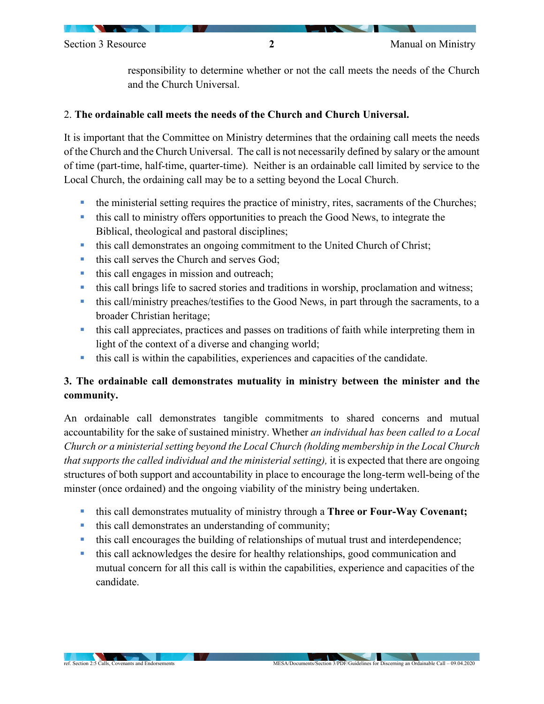responsibility to determine whether or not the call meets the needs of the Church and the Church Universal.

### 2. **The ordainable call meets the needs of the Church and Church Universal.**

It is important that the Committee on Ministry determines that the ordaining call meets the needs of the Church and the Church Universal. The call is not necessarily defined by salary or the amount of time (part-time, half-time, quarter-time). Neither is an ordainable call limited by service to the Local Church, the ordaining call may be to a setting beyond the Local Church.

- the ministerial setting requires the practice of ministry, rites, sacraments of the Churches;
- this call to ministry offers opportunities to preach the Good News, to integrate the Biblical, theological and pastoral disciplines;
- this call demonstrates an ongoing commitment to the United Church of Christ;
- this call serves the Church and serves God;
- this call engages in mission and outreach;
- this call brings life to sacred stories and traditions in worship, proclamation and witness;
- this call/ministry preaches/testifies to the Good News, in part through the sacraments, to a broader Christian heritage;
- this call appreciates, practices and passes on traditions of faith while interpreting them in light of the context of a diverse and changing world;
- this call is within the capabilities, experiences and capacities of the candidate.

# **3. The ordainable call demonstrates mutuality in ministry between the minister and the community.**

An ordainable call demonstrates tangible commitments to shared concerns and mutual accountability for the sake of sustained ministry. Whether *an individual has been called to a Local Church or a ministerial setting beyond the Local Church (holding membership in the Local Church that supports the called individual and the ministerial setting), it is expected that there are ongoing* structures of both support and accountability in place to encourage the long-term well-being of the minster (once ordained) and the ongoing viability of the ministry being undertaken.

- this call demonstrates mutuality of ministry through a **Three or Four-Way Covenant;**
- this call demonstrates an understanding of community;
- this call encourages the building of relationships of mutual trust and interdependence;
- this call acknowledges the desire for healthy relationships, good communication and mutual concern for all this call is within the capabilities, experience and capacities of the candidate.